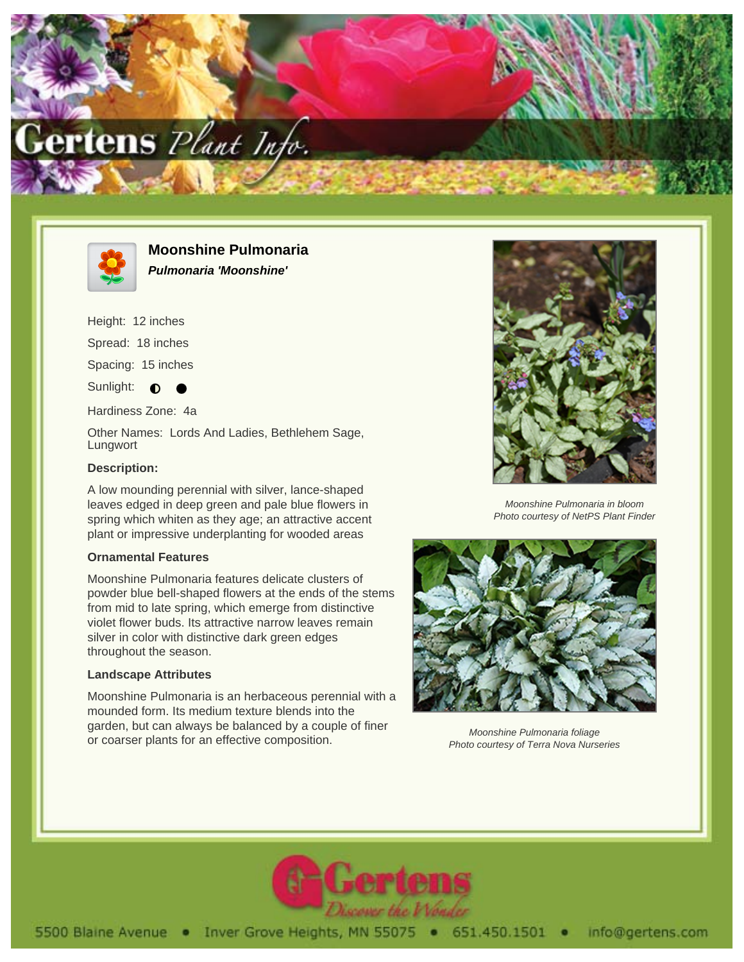



**Moonshine Pulmonaria Pulmonaria 'Moonshine'**

Height: 12 inches

Spread: 18 inches

Spacing: 15 inches

Sunlight:  $\bullet$ 

Hardiness Zone: 4a

Other Names: Lords And Ladies, Bethlehem Sage, Lungwort

## **Description:**

A low mounding perennial with silver, lance-shaped leaves edged in deep green and pale blue flowers in spring which whiten as they age; an attractive accent plant or impressive underplanting for wooded areas

## **Ornamental Features**

Moonshine Pulmonaria features delicate clusters of powder blue bell-shaped flowers at the ends of the stems from mid to late spring, which emerge from distinctive violet flower buds. Its attractive narrow leaves remain silver in color with distinctive dark green edges throughout the season.

## **Landscape Attributes**

Moonshine Pulmonaria is an herbaceous perennial with a mounded form. Its medium texture blends into the garden, but can always be balanced by a couple of finer or coarser plants for an effective composition.



Moonshine Pulmonaria in bloom Photo courtesy of NetPS Plant Finder



Moonshine Pulmonaria foliage Photo courtesy of Terra Nova Nurseries